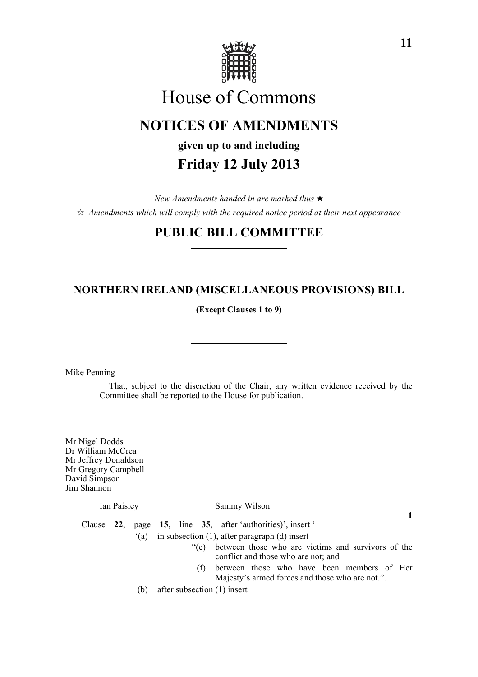

# House of Commons

# **NOTICES OF AMENDMENTS**

**given up to and including**

### **Friday 12 July 2013**

*New Amendments handed in are marked thus* \*  $\dot{\varphi}$  *Amendments which will comply with the required notice period at their next appearance* 

## **PUBLIC BILL COMMITTEE**

### **NORTHERN IRELAND (MISCELLANEOUS PROVISIONS) BILL**

**(Except Clauses 1 to 9)**

Mike Penning

That, subject to the discretion of the Chair, any written evidence received by the Committee shall be reported to the House for publication.

Mr Nigel Dodds Dr William McCrea Mr Jeffrey Donaldson Mr Gregory Campbell David Simpson Jim Shannon

Ian Paisley Sammy Wilson

**1**

Clause **22**, page **15**, line **35**, after 'authorities)', insert '—  $'(a)$  in subsection (1), after paragraph (d) insert— "(e) between those who are victims and survivors of the

- conflict and those who are not; and (f) between those who have been members of Her
- Majesty's armed forces and those who are not.".
- (b) after subsection (1) insert—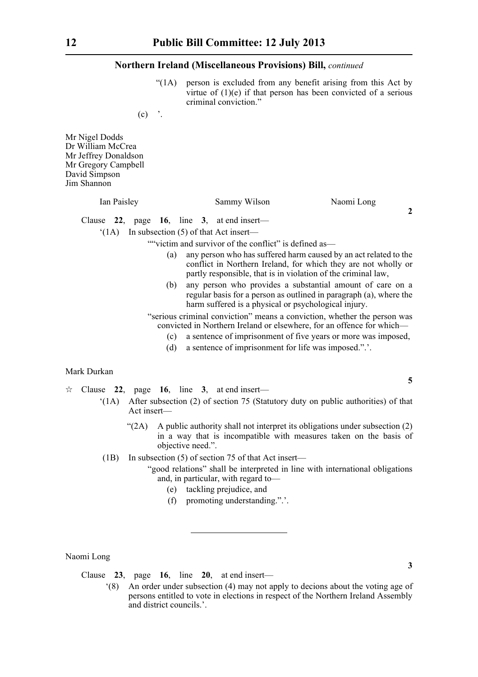"(1A) person is excluded from any benefit arising from this Act by virtue of (1)(e) if that person has been convicted of a serious criminal conviction."

 $(c)$  '.

Mr Nigel Dodds Dr William McCrea Mr Jeffrey Donaldson Mr Gregory Campbell David Simpson Jim Shannon

#### Ian Paisley Sammy Wilson Naomi Long

Clause **22**, page **16**, line **3**, at end insert—

'(1A) In subsection (5) of that Act insert—

""victim and survivor of the conflict" is defined as-

- (a) any person who has suffered harm caused by an act related to the conflict in Northern Ireland, for which they are not wholly or partly responsible, that is in violation of the criminal law,
- (b) any person who provides a substantial amount of care on a regular basis for a person as outlined in paragraph (a), where the harm suffered is a physical or psychological injury.

"serious criminal conviction" means a conviction, whether the person was convicted in Northern Ireland or elsewhere, for an offence for which—

- (c) a sentence of imprisonment of five years or more was imposed,
- (d) a sentence of imprisonment for life was imposed.".'.

#### Mark Durkan

 $\approx$  Clause 22, page 16, line 3, at end insert—

- '(1A) After subsection (2) of section 75 (Statutory duty on public authorities) of that Act insert—
	- " $(2A)$  A public authority shall not interpret its obligations under subsection  $(2)$ in a way that is incompatible with measures taken on the basis of objective need.".
- (1B) In subsection (5) of section 75 of that Act insert—

"good relations" shall be interpreted in line with international obligations and, in particular, with regard to—

- (e) tackling prejudice, and
- (f) promoting understanding.".'.

Naomi Long

Clause **23**, page **16**, line **20**, at end insert—

'(8) An order under subsection (4) may not apply to decions about the voting age of persons entitled to vote in elections in respect of the Northern Ireland Assembly and district councils.<sup>'</sup>

**5**

**3**

**2**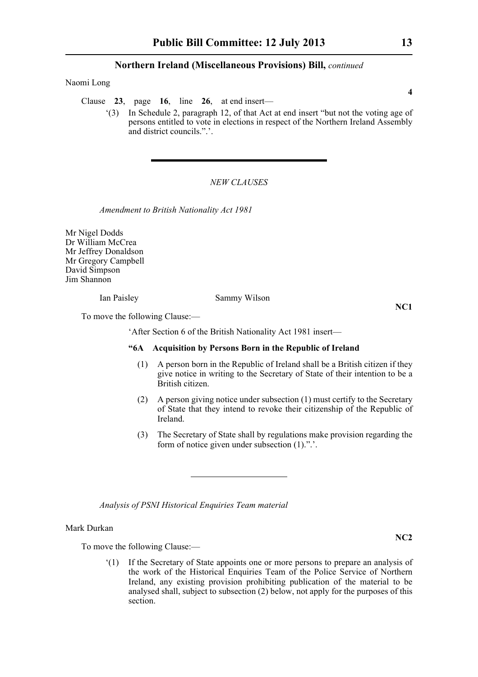Naomi Long

Clause **23**, page **16**, line **26**, at end insert—

'(3) In Schedule 2, paragraph 12, of that Act at end insert "but not the voting age of persons entitled to vote in elections in respect of the Northern Ireland Assembly and district councils.".'.

#### *NEW CLAUSES*

*Amendment to British Nationality Act 1981*

Mr Nigel Dodds Dr William McCrea Mr Jeffrey Donaldson Mr Gregory Campbell David Simpson Jim Shannon

Ian Paisley Sammy Wilson

**NC1**

To move the following Clause:—

'After Section 6 of the British Nationality Act 1981 insert—

#### **"6A Acquisition by Persons Born in the Republic of Ireland**

- (1) A person born in the Republic of Ireland shall be a British citizen if they give notice in writing to the Secretary of State of their intention to be a British citizen.
- (2) A person giving notice under subsection (1) must certify to the Secretary of State that they intend to revoke their citizenship of the Republic of Ireland.
- (3) The Secretary of State shall by regulations make provision regarding the form of notice given under subsection (1).".'.

*Analysis of PSNI Historical Enquiries Team material*

Mark Durkan

To move the following Clause:—

'(1) If the Secretary of State appoints one or more persons to prepare an analysis of the work of the Historical Enquiries Team of the Police Service of Northern Ireland, any existing provision prohibiting publication of the material to be analysed shall, subject to subsection (2) below, not apply for the purposes of this section.

**4**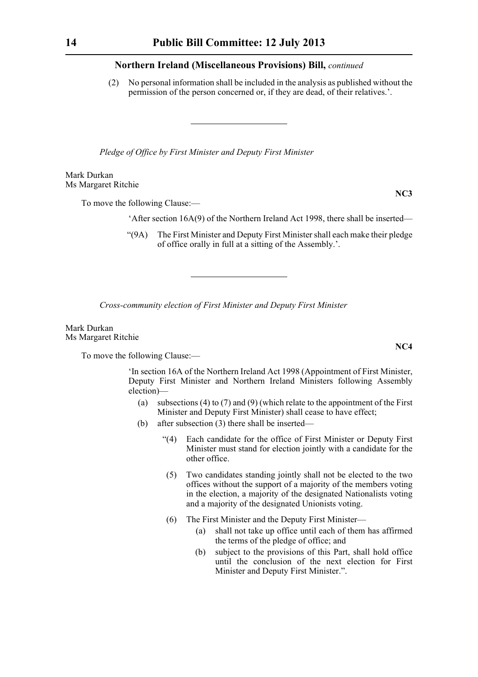(2) No personal information shall be included in the analysis as published without the permission of the person concerned or, if they are dead, of their relatives.'.

*Pledge of Office by First Minister and Deputy First Minister*

Mark Durkan Ms Margaret Ritchie

To move the following Clause:—

'After section 16A(9) of the Northern Ireland Act 1998, there shall be inserted—

"(9A) The First Minister and Deputy First Minister shall each make their pledge of office orally in full at a sitting of the Assembly.'.

*Cross-community election of First Minister and Deputy First Minister*

Mark Durkan Ms Margaret Ritchie

To move the following Clause:—

'In section 16A of the Northern Ireland Act 1998 (Appointment of First Minister, Deputy First Minister and Northern Ireland Ministers following Assembly election)—

- (a) subsections (4) to (7) and (9) (which relate to the appointment of the First Minister and Deputy First Minister) shall cease to have effect;
- (b) after subsection (3) there shall be inserted—
	- "(4) Each candidate for the office of First Minister or Deputy First Minister must stand for election jointly with a candidate for the other office.
	- (5) Two candidates standing jointly shall not be elected to the two offices without the support of a majority of the members voting in the election, a majority of the designated Nationalists voting and a majority of the designated Unionists voting.
	- (6) The First Minister and the Deputy First Minister—
		- (a) shall not take up office until each of them has affirmed the terms of the pledge of office; and
		- (b) subject to the provisions of this Part, shall hold office until the conclusion of the next election for First Minister and Deputy First Minister.".

**NC4**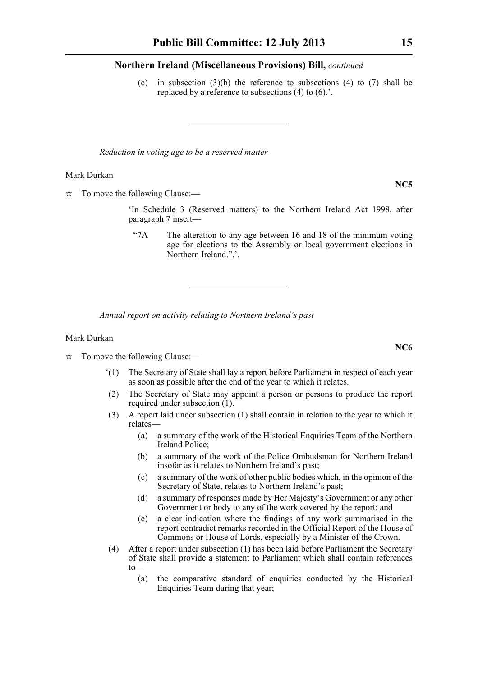(c) in subsection  $(3)(b)$  the reference to subsections  $(4)$  to  $(7)$  shall be replaced by a reference to subsections (4) to (6).'.

*Reduction in voting age to be a reserved matter*

#### Mark Durkan

 $\hat{\mathbb{R}}$  To move the following Clause:—

'In Schedule 3 (Reserved matters) to the Northern Ireland Act 1998, after paragraph 7 insert—

"7A The alteration to any age between 16 and 18 of the minimum voting age for elections to the Assembly or local government elections in Northern Ireland.".'.

*Annual report on activity relating to Northern Ireland's past*

#### Mark Durkan

 $\vec{x}$  To move the following Clause:—

- '(1) The Secretary of State shall lay a report before Parliament in respect of each year as soon as possible after the end of the year to which it relates.
- (2) The Secretary of State may appoint a person or persons to produce the report required under subsection (1).
- (3) A report laid under subsection (1) shall contain in relation to the year to which it relates—
	- (a) a summary of the work of the Historical Enquiries Team of the Northern Ireland Police;
	- (b) a summary of the work of the Police Ombudsman for Northern Ireland insofar as it relates to Northern Ireland's past;
	- (c) a summary of the work of other public bodies which, in the opinion of the Secretary of State, relates to Northern Ireland's past;
	- (d) a summary of responses made by Her Majesty's Government or any other Government or body to any of the work covered by the report; and
	- (e) a clear indication where the findings of any work summarised in the report contradict remarks recorded in the Official Report of the House of Commons or House of Lords, especially by a Minister of the Crown.
- (4) After a report under subsection (1) has been laid before Parliament the Secretary of State shall provide a statement to Parliament which shall contain references to—
	- (a) the comparative standard of enquiries conducted by the Historical Enquiries Team during that year;

**NC5**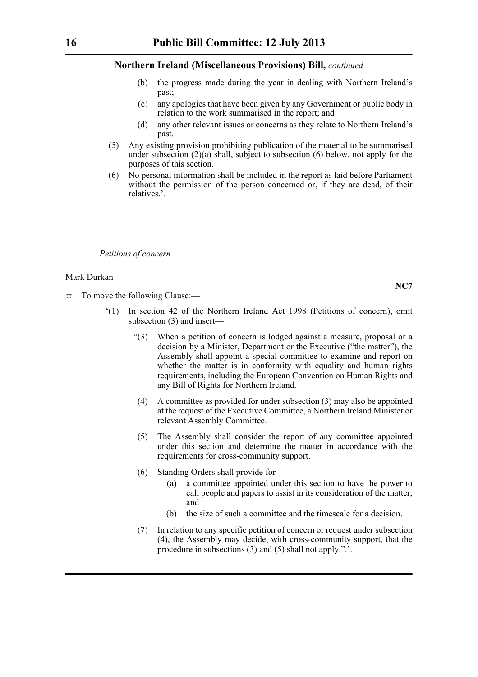- (b) the progress made during the year in dealing with Northern Ireland's past;
- (c) any apologies that have been given by any Government or public body in relation to the work summarised in the report; and
- (d) any other relevant issues or concerns as they relate to Northern Ireland's past.
- (5) Any existing provision prohibiting publication of the material to be summarised under subsection  $(2)(a)$  shall, subject to subsection  $(6)$  below, not apply for the purposes of this section.
- (6) No personal information shall be included in the report as laid before Parliament without the permission of the person concerned or, if they are dead, of their relatives.'.

*Petitions of concern*

#### Mark Durkan

- $\vec{x}$  To move the following Clause:—
	- '(1) In section 42 of the Northern Ireland Act 1998 (Petitions of concern), omit subsection (3) and insert—
		- "(3) When a petition of concern is lodged against a measure, proposal or a decision by a Minister, Department or the Executive ("the matter"), the Assembly shall appoint a special committee to examine and report on whether the matter is in conformity with equality and human rights requirements, including the European Convention on Human Rights and any Bill of Rights for Northern Ireland.
		- (4) A committee as provided for under subsection (3) may also be appointed at the request of the Executive Committee, a Northern Ireland Minister or relevant Assembly Committee.
		- (5) The Assembly shall consider the report of any committee appointed under this section and determine the matter in accordance with the requirements for cross-community support.
		- (6) Standing Orders shall provide for—
			- (a) a committee appointed under this section to have the power to call people and papers to assist in its consideration of the matter; and
			- (b) the size of such a committee and the timescale for a decision.
		- (7) In relation to any specific petition of concern or request under subsection (4), the Assembly may decide, with cross-community support, that the procedure in subsections (3) and (5) shall not apply.".'.